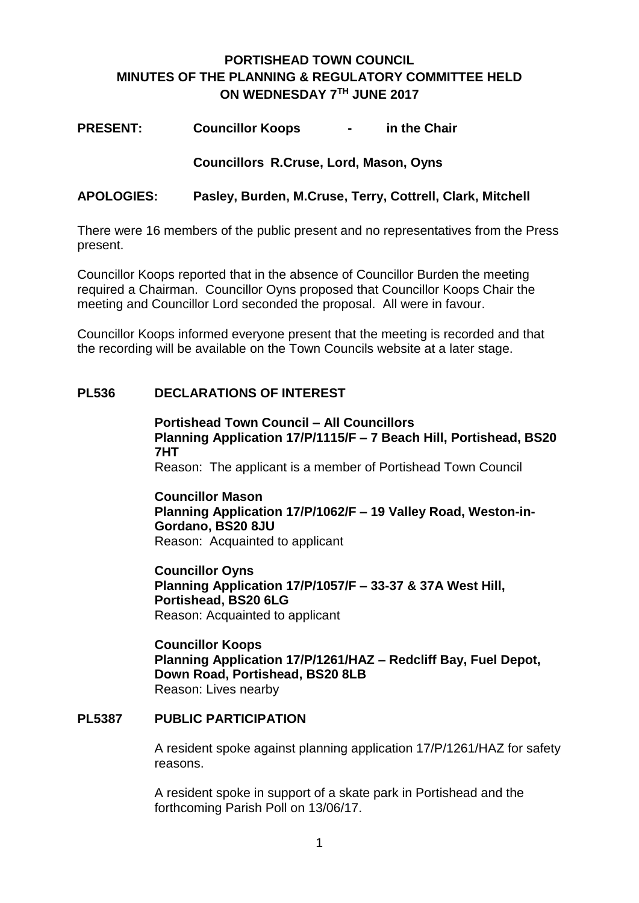# **PORTISHEAD TOWN COUNCIL MINUTES OF THE PLANNING & REGULATORY COMMITTEE HELD ON WEDNESDAY 7TH JUNE 2017**

**PRESENT: Councillor Koops - in the Chair**

**Councillors R.Cruse, Lord, Mason, Oyns**

#### **APOLOGIES: Pasley, Burden, M.Cruse, Terry, Cottrell, Clark, Mitchell**

There were 16 members of the public present and no representatives from the Press present.

Councillor Koops reported that in the absence of Councillor Burden the meeting required a Chairman. Councillor Oyns proposed that Councillor Koops Chair the meeting and Councillor Lord seconded the proposal. All were in favour.

Councillor Koops informed everyone present that the meeting is recorded and that the recording will be available on the Town Councils website at a later stage.

#### **PL536 DECLARATIONS OF INTEREST**

**Portishead Town Council – All Councillors Planning Application 17/P/1115/F – 7 Beach Hill, Portishead, BS20 7HT** Reason: The applicant is a member of Portishead Town Council

**Councillor Mason Planning Application 17/P/1062/F – 19 Valley Road, Weston-in-Gordano, BS20 8JU** Reason: Acquainted to applicant

**Councillor Oyns Planning Application 17/P/1057/F – 33-37 & 37A West Hill, Portishead, BS20 6LG** Reason: Acquainted to applicant

**Councillor Koops Planning Application 17/P/1261/HAZ – Redcliff Bay, Fuel Depot, Down Road, Portishead, BS20 8LB** Reason: Lives nearby

#### **PL5387 PUBLIC PARTICIPATION**

A resident spoke against planning application 17/P/1261/HAZ for safety reasons.

A resident spoke in support of a skate park in Portishead and the forthcoming Parish Poll on 13/06/17.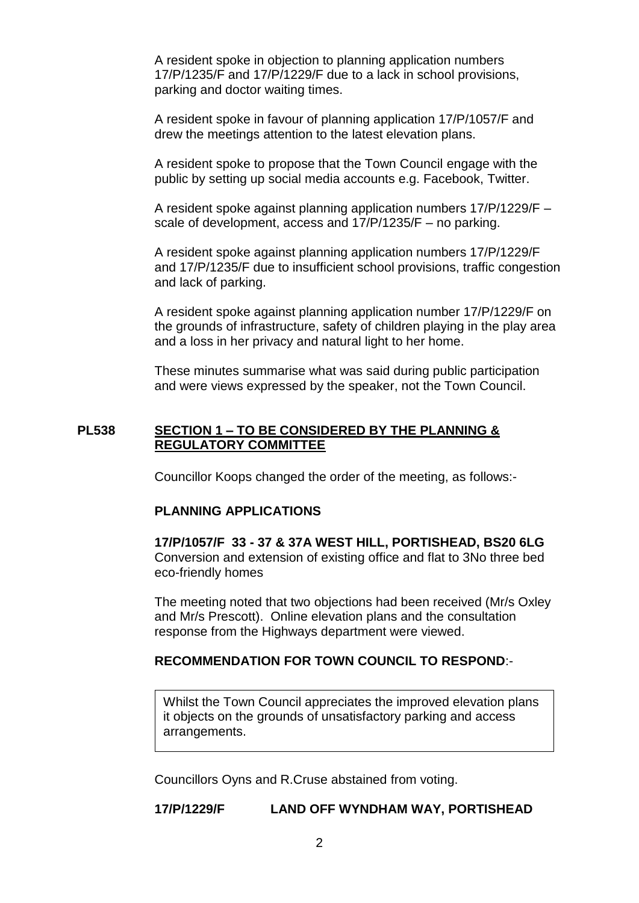A resident spoke in objection to planning application numbers 17/P/1235/F and 17/P/1229/F due to a lack in school provisions, parking and doctor waiting times.

A resident spoke in favour of planning application 17/P/1057/F and drew the meetings attention to the latest elevation plans.

A resident spoke to propose that the Town Council engage with the public by setting up social media accounts e.g. Facebook, Twitter.

A resident spoke against planning application numbers 17/P/1229/F – scale of development, access and 17/P/1235/F – no parking.

A resident spoke against planning application numbers 17/P/1229/F and 17/P/1235/F due to insufficient school provisions, traffic congestion and lack of parking.

A resident spoke against planning application number 17/P/1229/F on the grounds of infrastructure, safety of children playing in the play area and a loss in her privacy and natural light to her home.

These minutes summarise what was said during public participation and were views expressed by the speaker, not the Town Council.

#### **PL538 SECTION 1 – TO BE CONSIDERED BY THE PLANNING & REGULATORY COMMITTEE**

Councillor Koops changed the order of the meeting, as follows:-

#### **PLANNING APPLICATIONS**

**17/P/1057/F 33 - 37 & 37A WEST HILL, PORTISHEAD, BS20 6LG** Conversion and extension of existing office and flat to 3No three bed eco-friendly homes

The meeting noted that two objections had been received (Mr/s Oxley and Mr/s Prescott). Online elevation plans and the consultation response from the Highways department were viewed.

#### **RECOMMENDATION FOR TOWN COUNCIL TO RESPOND**:-

Whilst the Town Council appreciates the improved elevation plans it objects on the grounds of unsatisfactory parking and access arrangements.

Councillors Oyns and R.Cruse abstained from voting.

**17/P/1229/F LAND OFF WYNDHAM WAY, PORTISHEAD**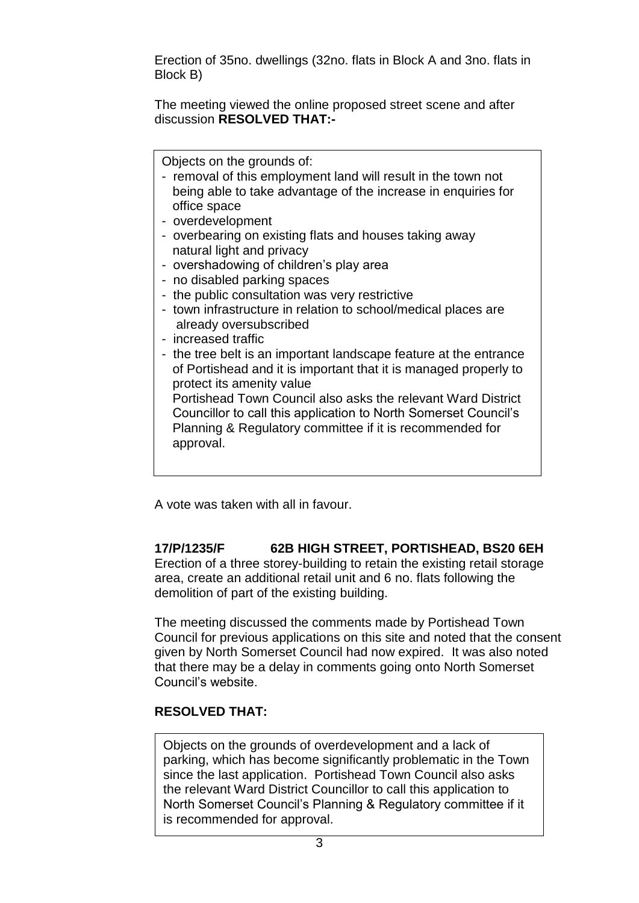Erection of 35no. dwellings (32no. flats in Block A and 3no. flats in Block B)

The meeting viewed the online proposed street scene and after discussion **RESOLVED THAT:-**

Objects on the grounds of:

- removal of this employment land will result in the town not being able to take advantage of the increase in enquiries for office space
- overdevelopment
- overbearing on existing flats and houses taking away natural light and privacy
- overshadowing of children's play area
- no disabled parking spaces
- the public consultation was very restrictive
- town infrastructure in relation to school/medical places are already oversubscribed
- increased traffic
- the tree belt is an important landscape feature at the entrance of Portishead and it is important that it is managed properly to protect its amenity value

 Portishead Town Council also asks the relevant Ward District Councillor to call this application to North Somerset Council's Planning & Regulatory committee if it is recommended for approval.

A vote was taken with all in favour.

#### **17/P/1235/F 62B HIGH STREET, PORTISHEAD, BS20 6EH** Erection of a three storey-building to retain the existing retail storage area, create an additional retail unit and 6 no. flats following the demolition of part of the existing building.

The meeting discussed the comments made by Portishead Town Council for previous applications on this site and noted that the consent given by North Somerset Council had now expired. It was also noted that there may be a delay in comments going onto North Somerset Council's website.

### **RESOLVED THAT:**

Objects on the grounds of overdevelopment and a lack of parking, which has become significantly problematic in the Town since the last application. Portishead Town Council also asks the relevant Ward District Councillor to call this application to North Somerset Council's Planning & Regulatory committee if it is recommended for approval.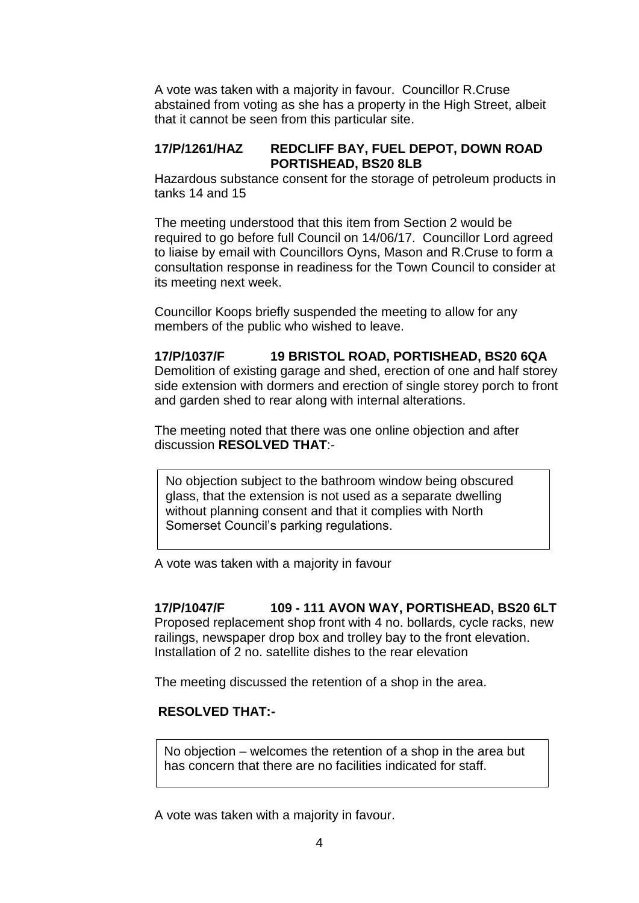A vote was taken with a majority in favour. Councillor R.Cruse abstained from voting as she has a property in the High Street, albeit that it cannot be seen from this particular site.

#### **17/P/1261/HAZ REDCLIFF BAY, FUEL DEPOT, DOWN ROAD PORTISHEAD, BS20 8LB**

Hazardous substance consent for the storage of petroleum products in tanks 14 and 15

The meeting understood that this item from Section 2 would be required to go before full Council on 14/06/17. Councillor Lord agreed to liaise by email with Councillors Oyns, Mason and R.Cruse to form a consultation response in readiness for the Town Council to consider at its meeting next week.

Councillor Koops briefly suspended the meeting to allow for any members of the public who wished to leave.

# **17/P/1037/F 19 BRISTOL ROAD, PORTISHEAD, BS20 6QA**

Demolition of existing garage and shed, erection of one and half storey side extension with dormers and erection of single storey porch to front and garden shed to rear along with internal alterations.

The meeting noted that there was one online objection and after discussion **RESOLVED THAT**:-

No objection subject to the bathroom window being obscured glass, that the extension is not used as a separate dwelling without planning consent and that it complies with North Somerset Council's parking regulations.

A vote was taken with a majority in favour

### **17/P/1047/F 109 - 111 AVON WAY, PORTISHEAD, BS20 6LT**

Proposed replacement shop front with 4 no. bollards, cycle racks, new railings, newspaper drop box and trolley bay to the front elevation. Installation of 2 no. satellite dishes to the rear elevation

The meeting discussed the retention of a shop in the area.

#### **RESOLVED THAT:-**

 No objection – welcomes the retention of a shop in the area but has concern that there are no facilities indicated for staff.

A vote was taken with a majority in favour.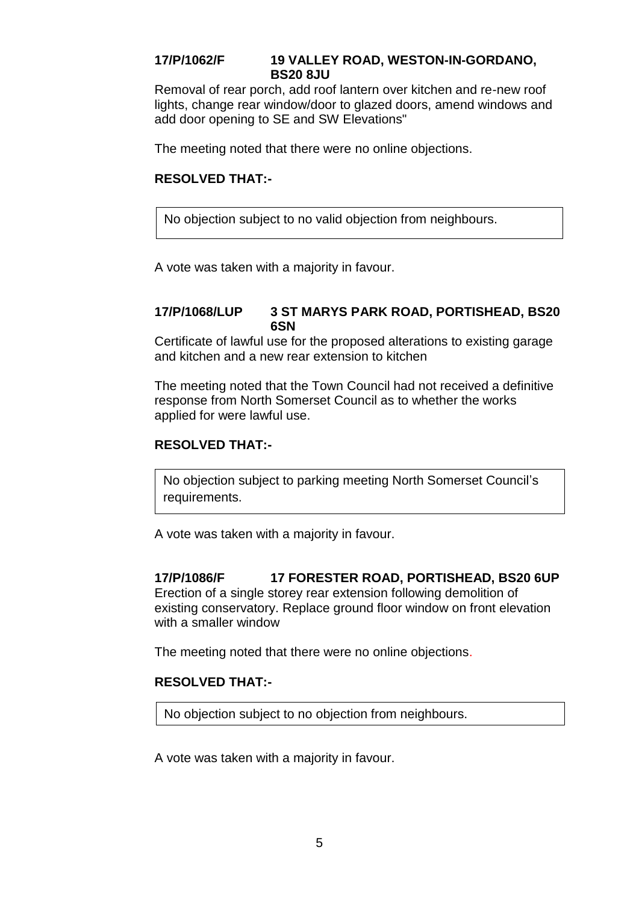#### **17/P/1062/F 19 VALLEY ROAD, WESTON-IN-GORDANO, BS20 8JU**

Removal of rear porch, add roof lantern over kitchen and re-new roof lights, change rear window/door to glazed doors, amend windows and add door opening to SE and SW Elevations"

The meeting noted that there were no online objections.

### **RESOLVED THAT:-**

No objection subject to no valid objection from neighbours.

A vote was taken with a majority in favour.

#### **17/P/1068/LUP 3 ST MARYS PARK ROAD, PORTISHEAD, BS20 6SN**

Certificate of lawful use for the proposed alterations to existing garage and kitchen and a new rear extension to kitchen

The meeting noted that the Town Council had not received a definitive response from North Somerset Council as to whether the works applied for were lawful use.

#### **RESOLVED THAT:-**

No objection subject to parking meeting North Somerset Council's requirements.

A vote was taken with a majority in favour.

### **17/P/1086/F 17 FORESTER ROAD, PORTISHEAD, BS20 6UP**

Erection of a single storey rear extension following demolition of existing conservatory. Replace ground floor window on front elevation with a smaller window

The meeting noted that there were no online objections.

# **RESOLVED THAT:-**

No objection subject to no objection from neighbours.

A vote was taken with a majority in favour.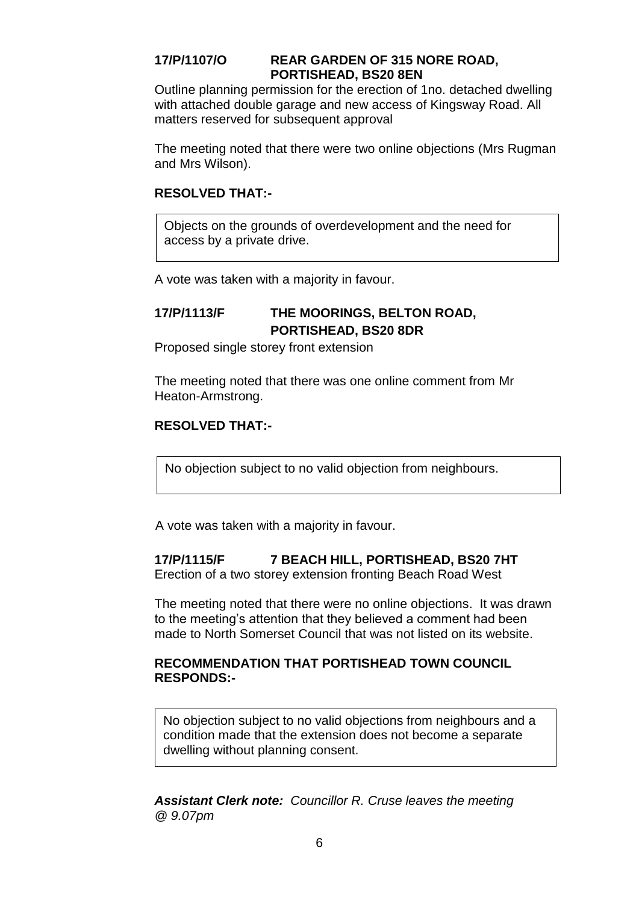#### **17/P/1107/O REAR GARDEN OF 315 NORE ROAD, PORTISHEAD, BS20 8EN**

Outline planning permission for the erection of 1no. detached dwelling with attached double garage and new access of Kingsway Road. All matters reserved for subsequent approval

The meeting noted that there were two online objections (Mrs Rugman and Mrs Wilson).

#### **RESOLVED THAT:-**

Objects on the grounds of overdevelopment and the need for access by a private drive.

A vote was taken with a majority in favour.

# **17/P/1113/F THE MOORINGS, BELTON ROAD, PORTISHEAD, BS20 8DR**

Proposed single storey front extension

The meeting noted that there was one online comment from Mr Heaton-Armstrong.

#### **RESOLVED THAT:-**

No objection subject to no valid objection from neighbours.

A vote was taken with a majority in favour.

#### **17/P/1115/F 7 BEACH HILL, PORTISHEAD, BS20 7HT**

Erection of a two storey extension fronting Beach Road West

The meeting noted that there were no online objections. It was drawn to the meeting's attention that they believed a comment had been made to North Somerset Council that was not listed on its website.

#### **RECOMMENDATION THAT PORTISHEAD TOWN COUNCIL RESPONDS:-**

No objection subject to no valid objections from neighbours and a condition made that the extension does not become a separate dwelling without planning consent.

*Assistant Clerk note: Councillor R. Cruse leaves the meeting @ 9.07pm*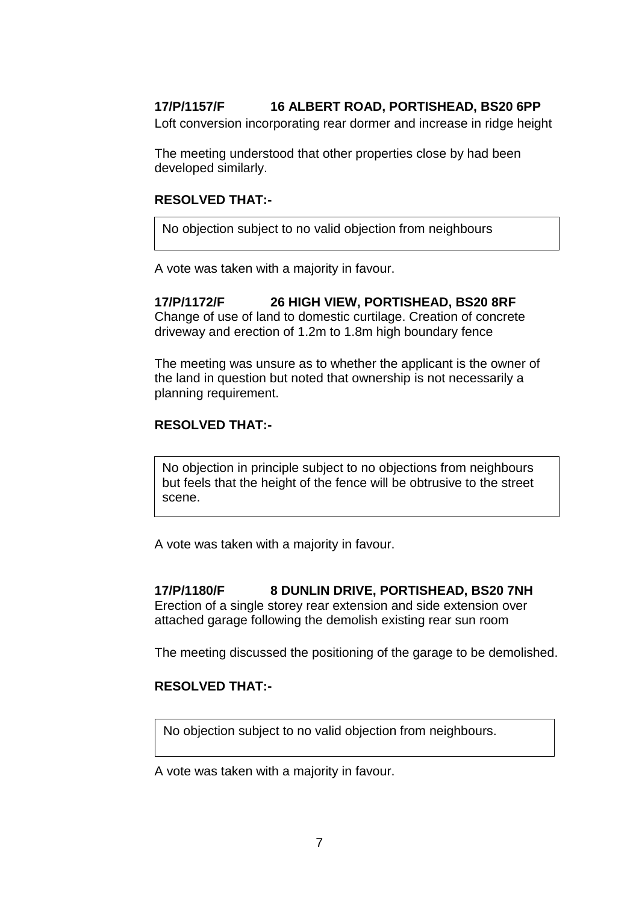# **17/P/1157/F 16 ALBERT ROAD, PORTISHEAD, BS20 6PP**

Loft conversion incorporating rear dormer and increase in ridge height

The meeting understood that other properties close by had been developed similarly.

#### **RESOLVED THAT:-**

No objection subject to no valid objection from neighbours

A vote was taken with a majority in favour.

**17/P/1172/F 26 HIGH VIEW, PORTISHEAD, BS20 8RF** Change of use of land to domestic curtilage. Creation of concrete driveway and erection of 1.2m to 1.8m high boundary fence

The meeting was unsure as to whether the applicant is the owner of the land in question but noted that ownership is not necessarily a planning requirement.

#### **RESOLVED THAT:-**

No objection in principle subject to no objections from neighbours but feels that the height of the fence will be obtrusive to the street scene.

A vote was taken with a majority in favour.

#### **17/P/1180/F 8 DUNLIN DRIVE, PORTISHEAD, BS20 7NH**

Erection of a single storey rear extension and side extension over attached garage following the demolish existing rear sun room

The meeting discussed the positioning of the garage to be demolished.

#### **RESOLVED THAT:-**

No objection subject to no valid objection from neighbours.

A vote was taken with a majority in favour.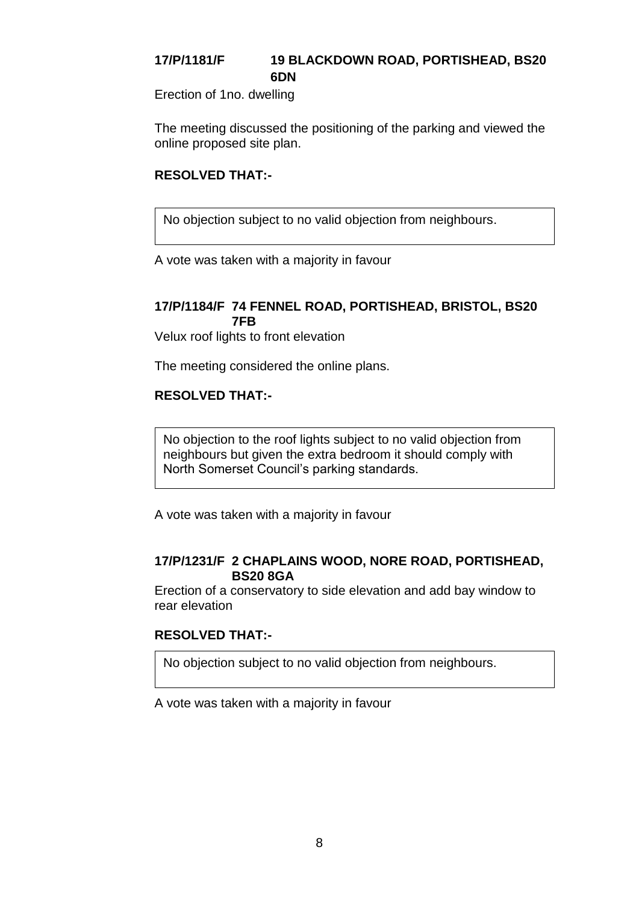# **17/P/1181/F 19 BLACKDOWN ROAD, PORTISHEAD, BS20 6DN**

Erection of 1no. dwelling

The meeting discussed the positioning of the parking and viewed the online proposed site plan.

#### **RESOLVED THAT:-**

No objection subject to no valid objection from neighbours.

A vote was taken with a majority in favour

#### **17/P/1184/F 74 FENNEL ROAD, PORTISHEAD, BRISTOL, BS20 7FB**

Velux roof lights to front elevation

The meeting considered the online plans.

#### **RESOLVED THAT:-**

No objection to the roof lights subject to no valid objection from neighbours but given the extra bedroom it should comply with North Somerset Council's parking standards.

A vote was taken with a majority in favour

#### **17/P/1231/F 2 CHAPLAINS WOOD, NORE ROAD, PORTISHEAD, BS20 8GA**

Erection of a conservatory to side elevation and add bay window to rear elevation

#### **RESOLVED THAT:-**

No objection subject to no valid objection from neighbours.

A vote was taken with a majority in favour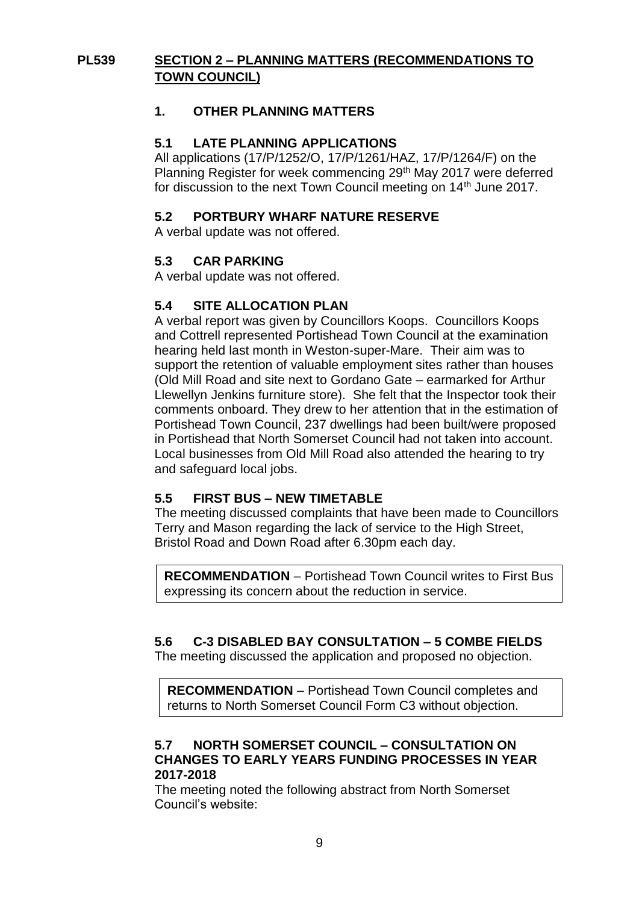# **PL539 SECTION 2 – PLANNING MATTERS (RECOMMENDATIONS TO TOWN COUNCIL)**

### **1. OTHER PLANNING MATTERS**

#### **5.1 LATE PLANNING APPLICATIONS**

All applications (17/P/1252/O, 17/P/1261/HAZ, 17/P/1264/F) on the Planning Register for week commencing 29<sup>th</sup> May 2017 were deferred for discussion to the next Town Council meeting on 14<sup>th</sup> June 2017.

#### **5.2 PORTBURY WHARF NATURE RESERVE**

A verbal update was not offered.

#### **5.3 CAR PARKING**

A verbal update was not offered.

#### **5.4 SITE ALLOCATION PLAN**

A verbal report was given by Councillors Koops. Councillors Koops and Cottrell represented Portishead Town Council at the examination hearing held last month in Weston-super-Mare. Their aim was to support the retention of valuable employment sites rather than houses (Old Mill Road and site next to Gordano Gate – earmarked for Arthur Llewellyn Jenkins furniture store). She felt that the Inspector took their comments onboard. They drew to her attention that in the estimation of Portishead Town Council, 237 dwellings had been built/were proposed in Portishead that North Somerset Council had not taken into account. Local businesses from Old Mill Road also attended the hearing to try and safeguard local jobs.

#### **5.5 FIRST BUS – NEW TIMETABLE**

The meeting discussed complaints that have been made to Councillors Terry and Mason regarding the lack of service to the High Street, Bristol Road and Down Road after 6.30pm each day.

**RECOMMENDATION** – Portishead Town Council writes to First Bus expressing its concern about the reduction in service.

### **5.6 C-3 DISABLED BAY CONSULTATION – 5 COMBE FIELDS**

The meeting discussed the application and proposed no objection.

**RECOMMENDATION** – Portishead Town Council completes and returns to North Somerset Council Form C3 without objection.

#### **5.7 NORTH SOMERSET COUNCIL – CONSULTATION ON CHANGES TO EARLY YEARS FUNDING PROCESSES IN YEAR 2017-2018**

The meeting noted the following abstract from North Somerset Council's website: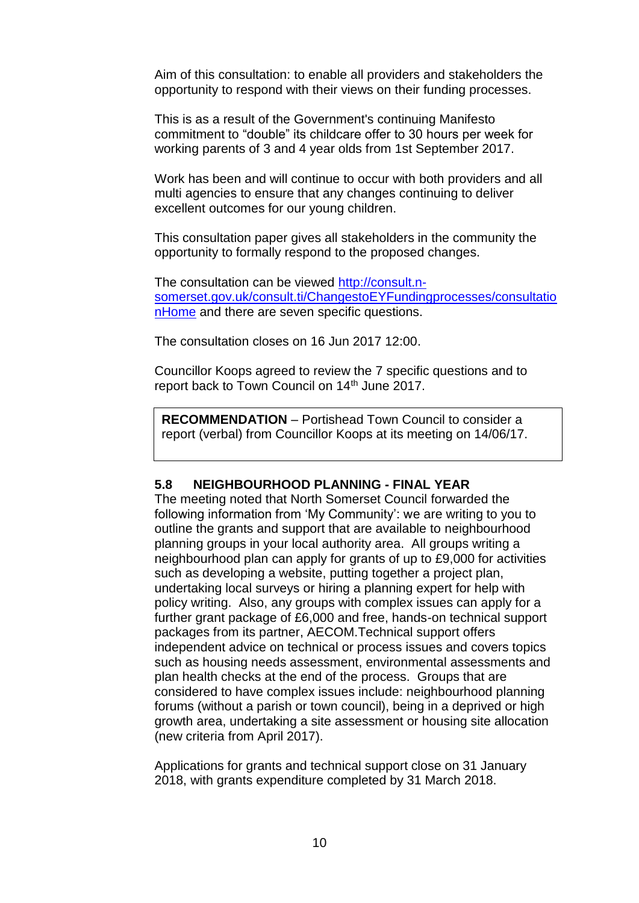Aim of this consultation: to enable all providers and stakeholders the opportunity to respond with their views on their funding processes.

This is as a result of the Government's continuing Manifesto commitment to "double" its childcare offer to 30 hours per week for working parents of 3 and 4 year olds from 1st September 2017.

Work has been and will continue to occur with both providers and all multi agencies to ensure that any changes continuing to deliver excellent outcomes for our young children.

This consultation paper gives all stakeholders in the community the opportunity to formally respond to the proposed changes.

The consultation can be viewed [http://consult.n](http://consult.n-somerset.gov.uk/consult.ti/ChangestoEYFundingprocesses/consultationHome)[somerset.gov.uk/consult.ti/ChangestoEYFundingprocesses/consultatio](http://consult.n-somerset.gov.uk/consult.ti/ChangestoEYFundingprocesses/consultationHome) [nHome](http://consult.n-somerset.gov.uk/consult.ti/ChangestoEYFundingprocesses/consultationHome) and there are seven specific questions.

The consultation closes on 16 Jun 2017 12:00.

Councillor Koops agreed to review the 7 specific questions and to report back to Town Council on 14<sup>th</sup> June 2017.

**RECOMMENDATION** – Portishead Town Council to consider a report (verbal) from Councillor Koops at its meeting on 14/06/17.

#### **5.8 NEIGHBOURHOOD PLANNING - FINAL YEAR**

The meeting noted that North Somerset Council forwarded the following information from 'My Community': we are writing to you to outline the grants and support that are available to neighbourhood planning groups in your local authority area. All groups writing a neighbourhood plan can apply for grants of up to £9,000 for activities such as developing a website, putting together a project plan, undertaking local surveys or hiring a planning expert for help with policy writing. Also, any groups with complex issues can apply for a further grant package of £6,000 and free, hands-on technical support packages from its partner, AECOM.Technical support offers independent advice on technical or process issues and covers topics such as housing needs assessment, environmental assessments and plan health checks at the end of the process. Groups that are considered to have complex issues include: neighbourhood planning forums (without a parish or town council), being in a deprived or high growth area, undertaking a site assessment or housing site allocation (new criteria from April 2017).

Applications for grants and technical support close on 31 January 2018, with grants expenditure completed by 31 March 2018.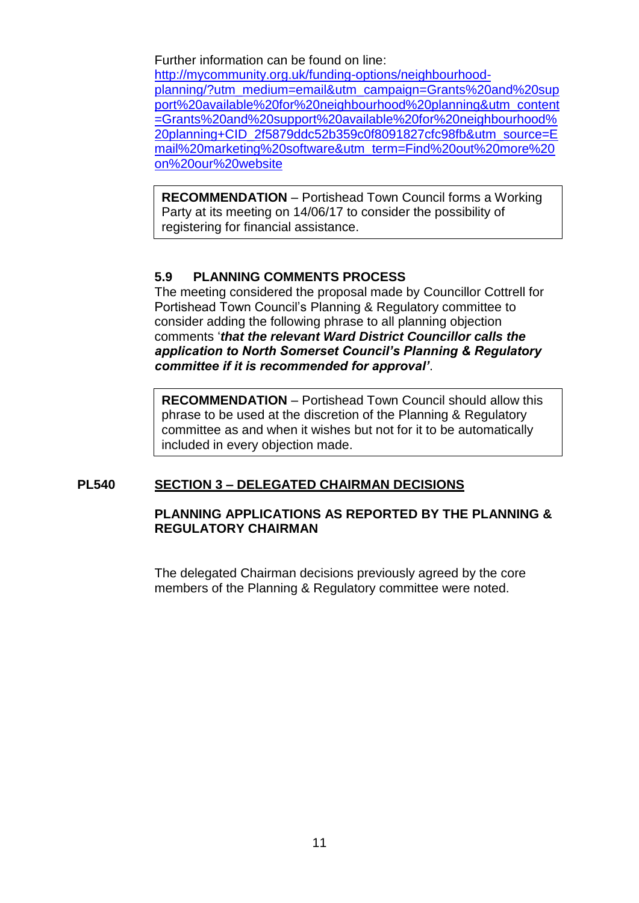Further information can be found on line: [http://mycommunity.org.uk/funding-options/neighbourhood](http://mycommunity.org.uk/funding-options/neighbourhood-planning/?utm_medium=email&utm_campaign=Grants%20and%20support%20available%20for%20neighbourhood%20planning&utm_content=Grants%20and%20support%20available%20for%20neighbourhood%20planning+CID_2f5879ddc52b359c0f8091827cfc98fb&utm_source=Email%20marketing%20software&utm_term=Find%20out%20more%20on%20our%20website)[planning/?utm\\_medium=email&utm\\_campaign=Grants%20and%20sup](http://mycommunity.org.uk/funding-options/neighbourhood-planning/?utm_medium=email&utm_campaign=Grants%20and%20support%20available%20for%20neighbourhood%20planning&utm_content=Grants%20and%20support%20available%20for%20neighbourhood%20planning+CID_2f5879ddc52b359c0f8091827cfc98fb&utm_source=Email%20marketing%20software&utm_term=Find%20out%20more%20on%20our%20website) [port%20available%20for%20neighbourhood%20planning&utm\\_content](http://mycommunity.org.uk/funding-options/neighbourhood-planning/?utm_medium=email&utm_campaign=Grants%20and%20support%20available%20for%20neighbourhood%20planning&utm_content=Grants%20and%20support%20available%20for%20neighbourhood%20planning+CID_2f5879ddc52b359c0f8091827cfc98fb&utm_source=Email%20marketing%20software&utm_term=Find%20out%20more%20on%20our%20website) [=Grants%20and%20support%20available%20for%20neighbourhood%](http://mycommunity.org.uk/funding-options/neighbourhood-planning/?utm_medium=email&utm_campaign=Grants%20and%20support%20available%20for%20neighbourhood%20planning&utm_content=Grants%20and%20support%20available%20for%20neighbourhood%20planning+CID_2f5879ddc52b359c0f8091827cfc98fb&utm_source=Email%20marketing%20software&utm_term=Find%20out%20more%20on%20our%20website) [20planning+CID\\_2f5879ddc52b359c0f8091827cfc98fb&utm\\_source=E](http://mycommunity.org.uk/funding-options/neighbourhood-planning/?utm_medium=email&utm_campaign=Grants%20and%20support%20available%20for%20neighbourhood%20planning&utm_content=Grants%20and%20support%20available%20for%20neighbourhood%20planning+CID_2f5879ddc52b359c0f8091827cfc98fb&utm_source=Email%20marketing%20software&utm_term=Find%20out%20more%20on%20our%20website) [mail%20marketing%20software&utm\\_term=Find%20out%20more%20](http://mycommunity.org.uk/funding-options/neighbourhood-planning/?utm_medium=email&utm_campaign=Grants%20and%20support%20available%20for%20neighbourhood%20planning&utm_content=Grants%20and%20support%20available%20for%20neighbourhood%20planning+CID_2f5879ddc52b359c0f8091827cfc98fb&utm_source=Email%20marketing%20software&utm_term=Find%20out%20more%20on%20our%20website) [on%20our%20website](http://mycommunity.org.uk/funding-options/neighbourhood-planning/?utm_medium=email&utm_campaign=Grants%20and%20support%20available%20for%20neighbourhood%20planning&utm_content=Grants%20and%20support%20available%20for%20neighbourhood%20planning+CID_2f5879ddc52b359c0f8091827cfc98fb&utm_source=Email%20marketing%20software&utm_term=Find%20out%20more%20on%20our%20website)

**RECOMMENDATION** – Portishead Town Council forms a Working Party at its meeting on 14/06/17 to consider the possibility of registering for financial assistance.

#### **5.9 PLANNING COMMENTS PROCESS**

The meeting considered the proposal made by Councillor Cottrell for Portishead Town Council's Planning & Regulatory committee to consider adding the following phrase to all planning objection comments '*that the relevant Ward District Councillor calls the application to North Somerset Council's Planning & Regulatory committee if it is recommended for approval'*.

**RECOMMENDATION** – Portishead Town Council should allow this phrase to be used at the discretion of the Planning & Regulatory committee as and when it wishes but not for it to be automatically included in every objection made.

#### **PL540 SECTION 3 – DELEGATED CHAIRMAN DECISIONS**

#### **PLANNING APPLICATIONS AS REPORTED BY THE PLANNING & REGULATORY CHAIRMAN**

The delegated Chairman decisions previously agreed by the core members of the Planning & Regulatory committee were noted.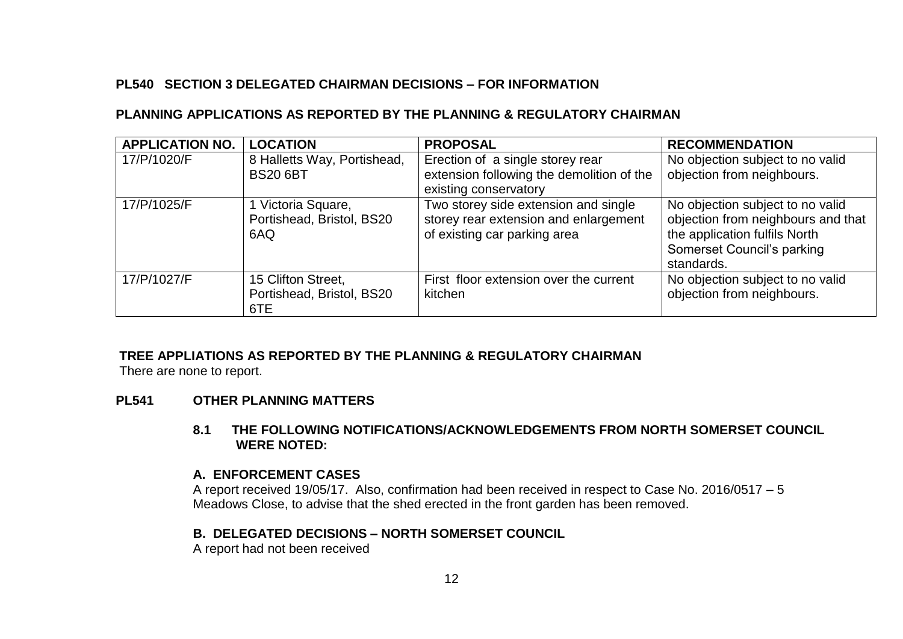# **PL540 SECTION 3 DELEGATED CHAIRMAN DECISIONS – FOR INFORMATION**

### **PLANNING APPLICATIONS AS REPORTED BY THE PLANNING & REGULATORY CHAIRMAN**

| <b>APPLICATION NO.</b> | <b>LOCATION</b>                                        | <b>PROPOSAL</b>                                                                                               | <b>RECOMMENDATION</b>                                                                                                                               |
|------------------------|--------------------------------------------------------|---------------------------------------------------------------------------------------------------------------|-----------------------------------------------------------------------------------------------------------------------------------------------------|
| 17/P/1020/F            | 8 Halletts Way, Portishead,<br><b>BS20 6BT</b>         | Erection of a single storey rear<br>extension following the demolition of the<br>existing conservatory        | No objection subject to no valid<br>objection from neighbours.                                                                                      |
| 17/P/1025/F            | 1 Victoria Square,<br>Portishead, Bristol, BS20<br>6AQ | Two storey side extension and single<br>storey rear extension and enlargement<br>of existing car parking area | No objection subject to no valid<br>objection from neighbours and that<br>the application fulfils North<br>Somerset Council's parking<br>standards. |
| 17/P/1027/F            | 15 Clifton Street,<br>Portishead, Bristol, BS20<br>6TE | First floor extension over the current<br>kitchen                                                             | No objection subject to no valid<br>objection from neighbours.                                                                                      |

#### **TREE APPLIATIONS AS REPORTED BY THE PLANNING & REGULATORY CHAIRMAN**

There are none to report.

#### **PL541 OTHER PLANNING MATTERS**

#### **8.1 THE FOLLOWING NOTIFICATIONS/ACKNOWLEDGEMENTS FROM NORTH SOMERSET COUNCIL WERE NOTED:**

#### **A. ENFORCEMENT CASES**

A report received 19/05/17. Also, confirmation had been received in respect to Case No. 2016/0517 – 5 Meadows Close, to advise that the shed erected in the front garden has been removed.

#### **B. DELEGATED DECISIONS – NORTH SOMERSET COUNCIL**

A report had not been received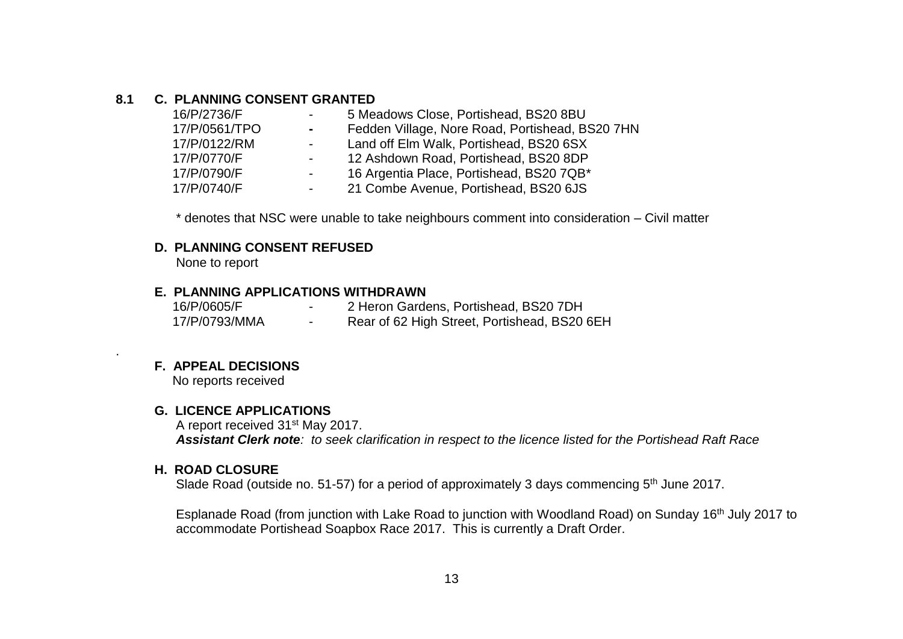#### **8.1 C. PLANNING CONSENT GRANTED**

| 5 Meadows Close, Portishead, BS20 8BU           |
|-------------------------------------------------|
| Fedden Village, Nore Road, Portishead, BS20 7HN |
| Land off Elm Walk, Portishead, BS20 6SX         |
| 12 Ashdown Road, Portishead, BS20 8DP           |
| 16 Argentia Place, Portishead, BS20 7QB*        |
| 21 Combe Avenue, Portishead, BS20 6JS           |
|                                                 |

\* denotes that NSC were unable to take neighbours comment into consideration – Civil matter

#### **D. PLANNING CONSENT REFUSED**

None to report

#### **E. PLANNING APPLICATIONS WITHDRAWN**

| 16/P/0605/F   | 2 Heron Gardens, Portishead, BS20 7DH        |
|---------------|----------------------------------------------|
| 17/P/0793/MMA | Rear of 62 High Street, Portishead, BS20 6EH |

#### **F. APPEAL DECISIONS**

.

No reports received

#### **G. LICENCE APPLICATIONS**

 A report received 31st May 2017.  *Assistant Clerk note: to seek clarification in respect to the licence listed for the Portishead Raft Race*

#### **H. ROAD CLOSURE**

Slade Road (outside no. 51-57) for a period of approximately 3 days commencing 5<sup>th</sup> June 2017.

Esplanade Road (from junction with Lake Road to junction with Woodland Road) on Sunday 16<sup>th</sup> July 2017 to accommodate Portishead Soapbox Race 2017. This is currently a Draft Order.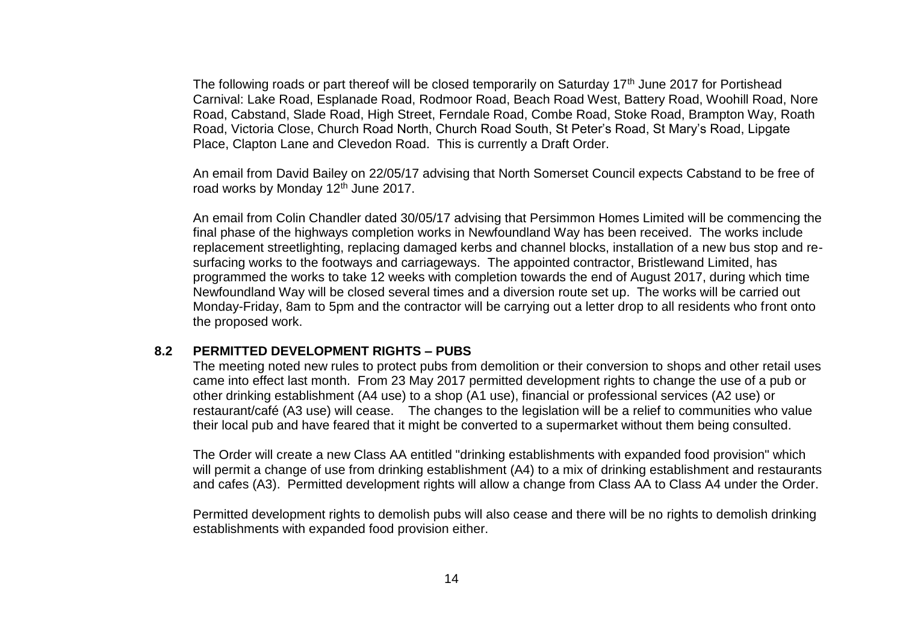The following roads or part thereof will be closed temporarily on Saturday 17<sup>th</sup> June 2017 for Portishead Carnival: Lake Road, Esplanade Road, Rodmoor Road, Beach Road West, Battery Road, Woohill Road, Nore Road, Cabstand, Slade Road, High Street, Ferndale Road, Combe Road, Stoke Road, Brampton Way, Roath Road, Victoria Close, Church Road North, Church Road South, St Peter's Road, St Mary's Road, Lipgate Place, Clapton Lane and Clevedon Road. This is currently a Draft Order.

An email from David Bailey on 22/05/17 advising that North Somerset Council expects Cabstand to be free of road works by Monday 12<sup>th</sup> June 2017.

An email from Colin Chandler dated 30/05/17 advising that Persimmon Homes Limited will be commencing the final phase of the highways completion works in Newfoundland Way has been received. The works include replacement streetlighting, replacing damaged kerbs and channel blocks, installation of a new bus stop and resurfacing works to the footways and carriageways. The appointed contractor, Bristlewand Limited, has programmed the works to take 12 weeks with completion towards the end of August 2017, during which time Newfoundland Way will be closed several times and a diversion route set up. The works will be carried out Monday-Friday, 8am to 5pm and the contractor will be carrying out a letter drop to all residents who front onto the proposed work.

#### **8.2 PERMITTED DEVELOPMENT RIGHTS – PUBS**

The meeting noted new rules to protect pubs from demolition or their conversion to shops and other retail uses came into effect last month. From 23 May 2017 permitted development rights to change the use of a pub or other drinking establishment (A4 use) to a shop (A1 use), financial or professional services (A2 use) or restaurant/café (A3 use) will cease. The changes to the legislation will be a relief to communities who value their local pub and have feared that it might be converted to a supermarket without them being consulted.

The Order will create a new Class AA entitled "drinking establishments with expanded food provision" which will permit a change of use from drinking establishment (A4) to a mix of drinking establishment and restaurants and cafes (A3). Permitted development rights will allow a change from Class AA to Class A4 under the Order.

Permitted development rights to demolish pubs will also cease and there will be no rights to demolish drinking establishments with expanded food provision either.